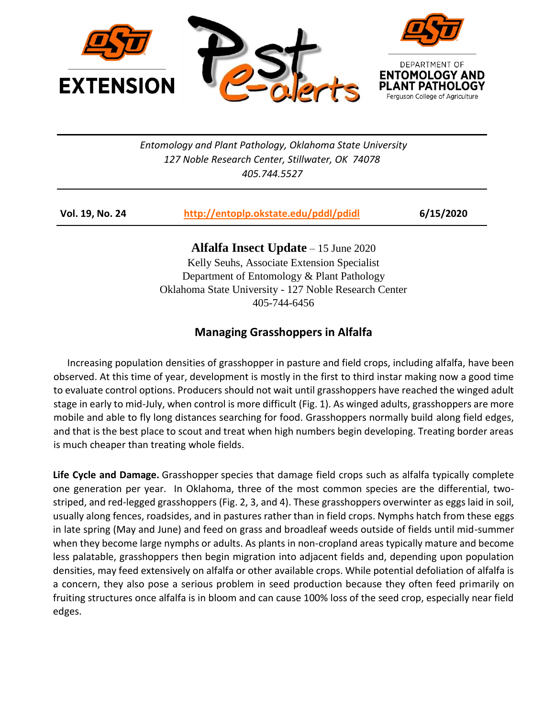

*Entomology and Plant Pathology, Oklahoma State University 127 Noble Research Center, Stillwater, OK 74078 405.744.5527*

| Vol. 19, No. 24 | http://entoplp.okstate.edu/pddl/pdidl | 6/15/2020 |
|-----------------|---------------------------------------|-----------|
|-----------------|---------------------------------------|-----------|

**Alfalfa Insect Update** – 15 June 2020 Kelly Seuhs, Associate Extension Specialist Department of Entomology & Plant Pathology Oklahoma State University - 127 Noble Research Center 405-744-6456

## **Managing Grasshoppers in Alfalfa**

 Increasing population densities of grasshopper in pasture and field crops, including alfalfa, have been observed. At this time of year, development is mostly in the first to third instar making now a good time to evaluate control options. Producers should not wait until grasshoppers have reached the winged adult stage in early to mid-July, when control is more difficult (Fig. 1). As winged adults, grasshoppers are more mobile and able to fly long distances searching for food. Grasshoppers normally build along field edges, and that is the best place to scout and treat when high numbers begin developing. Treating border areas is much cheaper than treating whole fields.

**Life Cycle and Damage.** [Grasshopper](http://soilcropandmore.info/crops/alfalfa/alfalfa.okstate.edu/images/insects/grass-hopphotos.html) species that damage field crops such as alfalfa typically complete one generation per year. In Oklahoma, three of the most common species are the differential, twostriped, and red-legged grasshoppers (Fig. 2, 3, and 4). These grasshoppers overwinter as eggs laid in soil, usually along fences, roadsides, and in pastures rather than in field crops. Nymphs hatch from these eggs in late spring (May and June) and feed on grass and broadleaf weeds outside of fields until mid-summer when they become large nymphs or adults. As plants in non-cropland areas typically mature and become less palatable, grasshoppers then begin migration into adjacent fields and, depending upon population densities, may feed extensively on alfalfa or other available crops. While potential defoliation of alfalfa is a concern, they also pose a serious problem in seed production because they often feed primarily on fruiting structures once alfalfa is in bloom and can cause 100% loss of the seed crop, especially near field edges.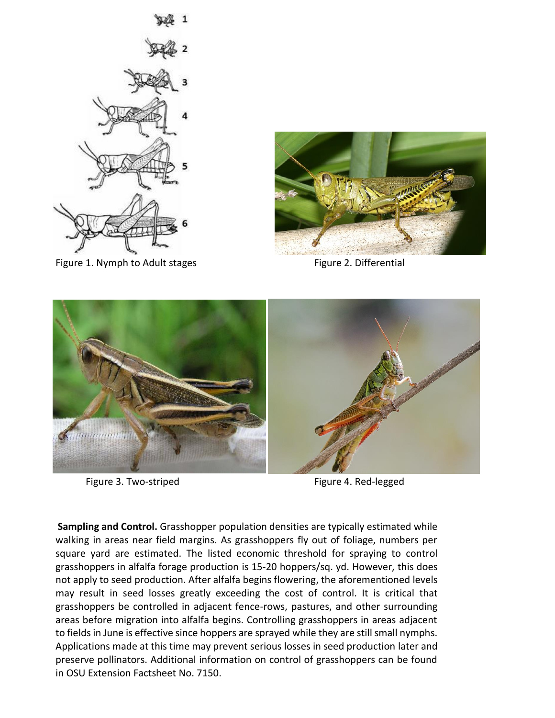

Figure 1. Nymph to Adult stages Figure 2. Differential





Figure 3. Two-striped Figure 4. Red-legged

**Sampling and Control.** Grasshopper population densities are typically estimated while walking in areas near field margins. As grasshoppers fly out of foliage, numbers per square yard are estimated. The listed economic threshold for spraying to control grasshoppers in alfalfa forage production is 15-20 hoppers/sq. yd. However, this does not apply to seed production. After alfalfa begins flowering, the aforementioned levels may result in seed losses greatly exceeding the cost of control. It is critical that grasshoppers be controlled in adjacent fence-rows, pastures, and other surrounding areas before migration into alfalfa begins. Controlling grasshoppers in areas adjacent to fields in June is effective since hoppers are sprayed while they are still small nymphs. Applications made at this time may prevent serious losses in seed production later and preserve pollinators. Additional information on control of grasshoppers can be found in [OSU Extension Factsheet](http://pearl.agcomm.okstate.edu/plantsoil/crops/f-7150.pdf) No. 7150.